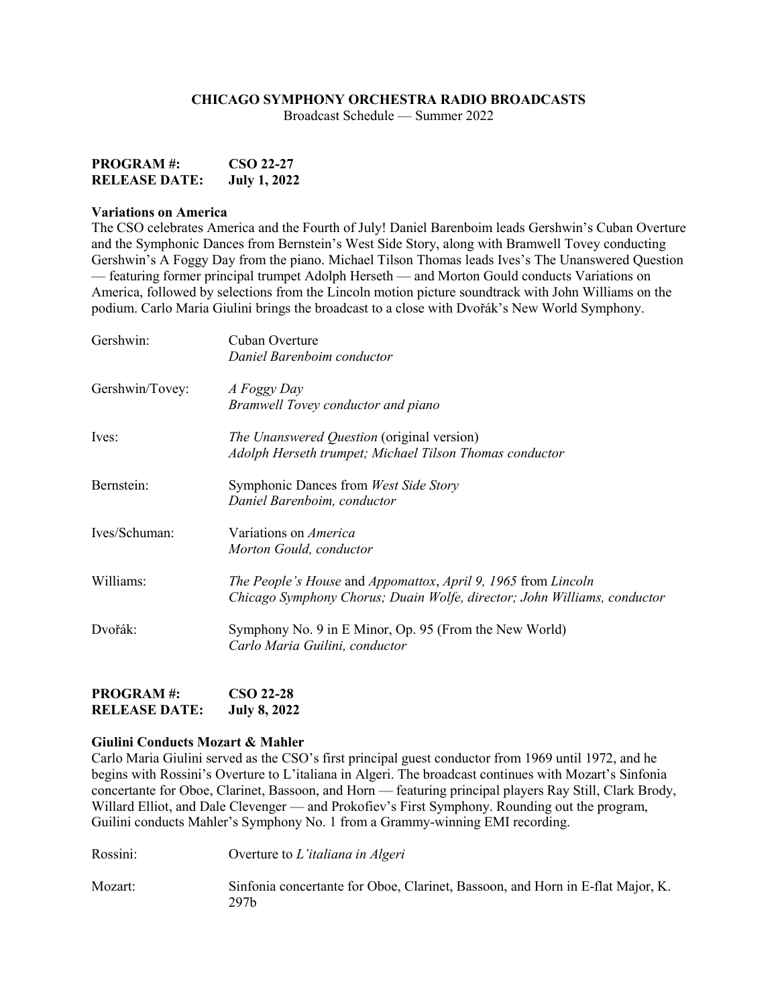## **CHICAGO SYMPHONY ORCHESTRA RADIO BROADCASTS**

Broadcast Schedule — Summer 2022

| <b>PROGRAM#:</b>     | CSO 22-27           |
|----------------------|---------------------|
| <b>RELEASE DATE:</b> | <b>July 1, 2022</b> |

#### **Variations on America**

The CSO celebrates America and the Fourth of July! Daniel Barenboim leads Gershwin's Cuban Overture and the Symphonic Dances from Bernstein's West Side Story, along with Bramwell Tovey conducting Gershwin's A Foggy Day from the piano. Michael Tilson Thomas leads Ives's The Unanswered Question — featuring former principal trumpet Adolph Herseth — and Morton Gould conducts Variations on America, followed by selections from the Lincoln motion picture soundtrack with John Williams on the podium. Carlo Maria Giulini brings the broadcast to a close with Dvořák's New World Symphony.

| Gershwin:       | Cuban Overture                                                           |
|-----------------|--------------------------------------------------------------------------|
|                 | Daniel Barenboim conductor                                               |
| Gershwin/Tovey: | A Foggy Day                                                              |
|                 | Bramwell Tovey conductor and piano                                       |
| Ives:           | <i>The Unanswered Question</i> (original version)                        |
|                 | Adolph Herseth trumpet; Michael Tilson Thomas conductor                  |
| Bernstein:      | Symphonic Dances from West Side Story                                    |
|                 | Daniel Barenboim, conductor                                              |
| Ives/Schuman:   | Variations on <i>America</i>                                             |
|                 | Morton Gould, conductor                                                  |
| Williams:       | The People's House and Appomattox, April 9, 1965 from Lincoln            |
|                 | Chicago Symphony Chorus; Duain Wolfe, director; John Williams, conductor |
| Dvořák:         | Symphony No. 9 in E Minor, Op. 95 (From the New World)                   |
|                 | Carlo Maria Guilini, conductor                                           |
|                 |                                                                          |

| <b>PROGRAM#:</b>     | <b>CSO 22-28</b>    |
|----------------------|---------------------|
| <b>RELEASE DATE:</b> | <b>July 8, 2022</b> |

#### **Giulini Conducts Mozart & Mahler**

Carlo Maria Giulini served as the CSO's first principal guest conductor from 1969 until 1972, and he begins with Rossini's Overture to L'italiana in Algeri. The broadcast continues with Mozart's Sinfonia concertante for Oboe, Clarinet, Bassoon, and Horn — featuring principal players Ray Still, Clark Brody, Willard Elliot, and Dale Clevenger — and Prokofiev's First Symphony. Rounding out the program, Guilini conducts Mahler's Symphony No. 1 from a Grammy-winning EMI recording.

| Rossini: | Overture to L'italiana in Algeri                                                       |
|----------|----------------------------------------------------------------------------------------|
| Mozart:  | Sinfonia concertante for Oboe, Clarinet, Bassoon, and Horn in E-flat Major, K.<br>297h |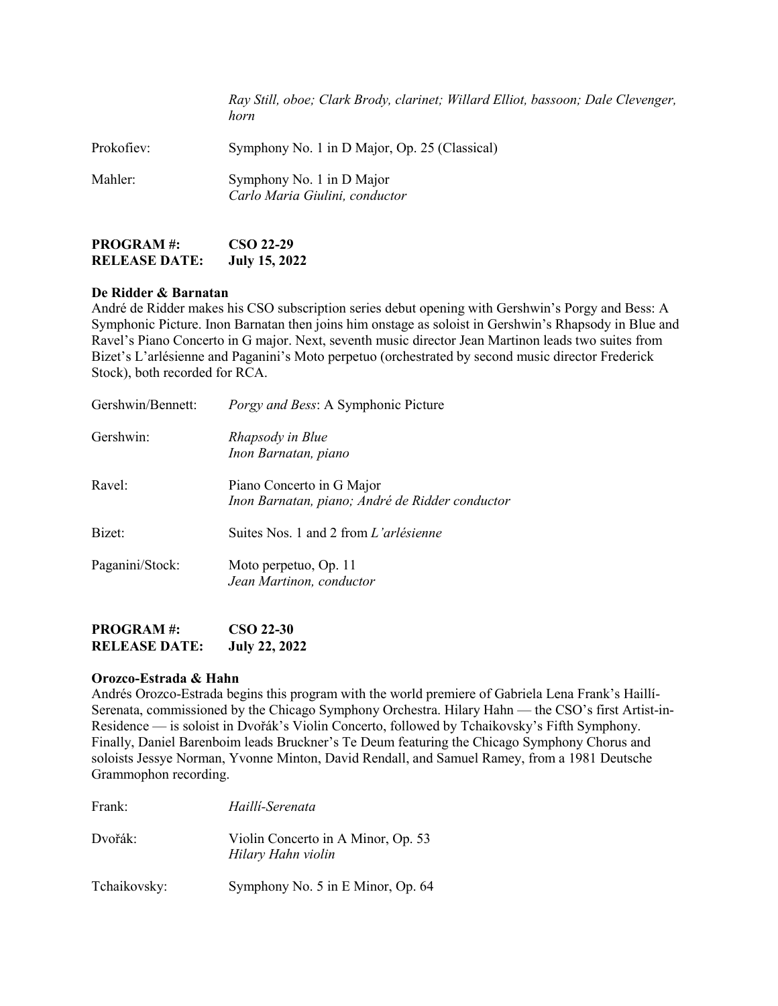|            | Ray Still, oboe; Clark Brody, clarinet; Willard Elliot, bassoon; Dale Clevenger,<br>horn |
|------------|------------------------------------------------------------------------------------------|
| Prokofiev: | Symphony No. 1 in D Major, Op. 25 (Classical)                                            |
| Mahler:    | Symphony No. 1 in D Major<br>Carlo Maria Giulini, conductor                              |

| <b>PROGRAM#:</b>     | <b>CSO 22-29</b>     |
|----------------------|----------------------|
| <b>RELEASE DATE:</b> | <b>July 15, 2022</b> |

### **De Ridder & Barnatan**

André de Ridder makes his CSO subscription series debut opening with Gershwin's Porgy and Bess: A Symphonic Picture. Inon Barnatan then joins him onstage as soloist in Gershwin's Rhapsody in Blue and Ravel's Piano Concerto in G major. Next, seventh music director Jean Martinon leads two suites from Bizet's L'arlésienne and Paganini's Moto perpetuo (orchestrated by second music director Frederick Stock), both recorded for RCA.

| Gershwin/Bennett: | Porgy and Bess: A Symphonic Picture                                          |
|-------------------|------------------------------------------------------------------------------|
| Gershwin:         | Rhapsody in Blue<br>Inon Barnatan, piano                                     |
| Ravel:            | Piano Concerto in G Major<br>Inon Barnatan, piano; André de Ridder conductor |
| Bizet:            | Suites Nos. 1 and 2 from L'arlésienne                                        |
| Paganini/Stock:   | Moto perpetuo, Op. 11<br>Jean Martinon, conductor                            |

**PROGRAM #: CSO 22-30 RELEASE DATE: July 22, 2022**

### **Orozco-Estrada & Hahn**

Andrés Orozco-Estrada begins this program with the world premiere of Gabriela Lena Frank's Haillí-Serenata, commissioned by the Chicago Symphony Orchestra. Hilary Hahn — the CSO's first Artist-in-Residence — is soloist in Dvořák's Violin Concerto, followed by Tchaikovsky's Fifth Symphony. Finally, Daniel Barenboim leads Bruckner's Te Deum featuring the Chicago Symphony Chorus and soloists Jessye Norman, Yvonne Minton, David Rendall, and Samuel Ramey, from a 1981 Deutsche Grammophon recording.

| Frank:       | Haillí-Serenata                                          |
|--------------|----------------------------------------------------------|
| Dvořák:      | Violin Concerto in A Minor, Op. 53<br>Hilary Hahn violin |
| Tchaikovsky: | Symphony No. 5 in E Minor, Op. 64                        |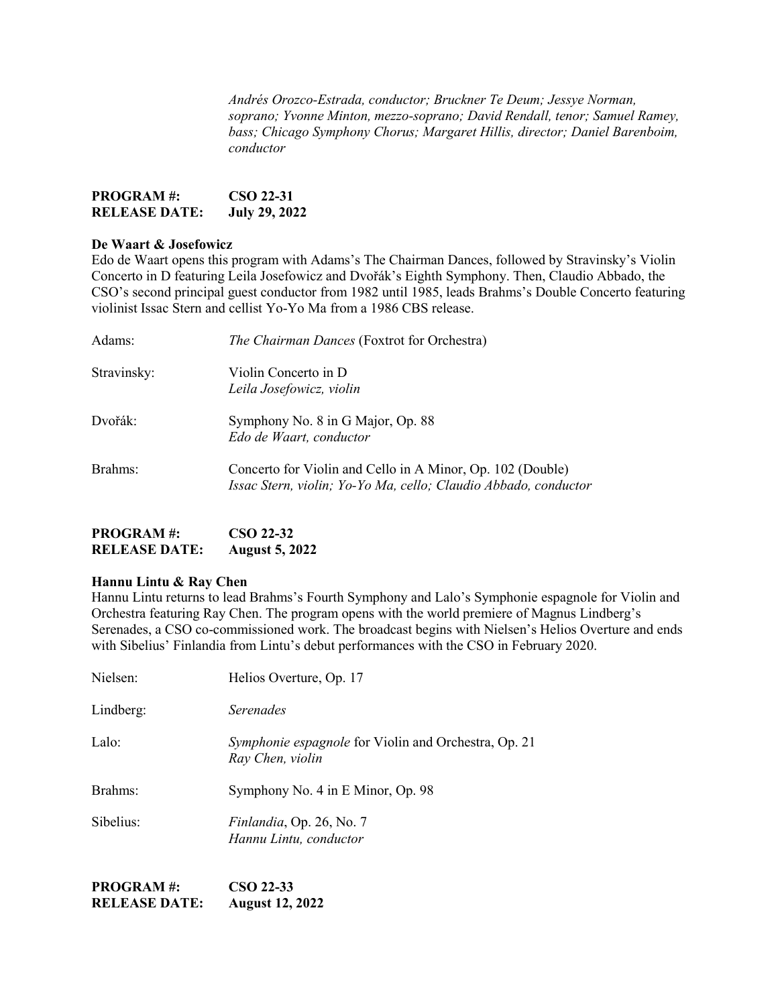*Andrés Orozco-Estrada, conductor; Bruckner Te Deum; Jessye Norman, soprano; Yvonne Minton, mezzo-soprano; David Rendall, tenor; Samuel Ramey, bass; Chicago Symphony Chorus; Margaret Hillis, director; Daniel Barenboim, conductor*

| <b>PROGRAM#:</b>     | CSO 22-31            |
|----------------------|----------------------|
| <b>RELEASE DATE:</b> | <b>July 29, 2022</b> |

# **De Waart & Josefowicz**

Edo de Waart opens this program with Adams's The Chairman Dances, followed by Stravinsky's Violin Concerto in D featuring Leila Josefowicz and Dvořák's Eighth Symphony. Then, Claudio Abbado, the CSO's second principal guest conductor from 1982 until 1985, leads Brahms's Double Concerto featuring violinist Issac Stern and cellist Yo-Yo Ma from a 1986 CBS release.

| Adams:      | The Chairman Dances (Foxtrot for Orchestra)                                                                                   |
|-------------|-------------------------------------------------------------------------------------------------------------------------------|
| Stravinsky: | Violin Concerto in D<br>Leila Josefowicz, violin                                                                              |
| Dvořák:     | Symphony No. 8 in G Major, Op. 88<br>Edo de Waart, conductor                                                                  |
| Brahms:     | Concerto for Violin and Cello in A Minor, Op. 102 (Double)<br>Issac Stern, violin; Yo-Yo Ma, cello; Claudio Abbado, conductor |

| <b>PROGRAM#:</b>     | CSO 22-32             |
|----------------------|-----------------------|
| <b>RELEASE DATE:</b> | <b>August 5, 2022</b> |

#### **Hannu Lintu & Ray Chen**

Hannu Lintu returns to lead Brahms's Fourth Symphony and Lalo's Symphonie espagnole for Violin and Orchestra featuring Ray Chen. The program opens with the world premiere of Magnus Lindberg's Serenades, a CSO co-commissioned work. The broadcast begins with Nielsen's Helios Overture and ends with Sibelius' Finlandia from Lintu's debut performances with the CSO in February 2020.

| Nielsen:  | Helios Overture, Op. 17                                                         |
|-----------|---------------------------------------------------------------------------------|
| Lindberg: | Serenades                                                                       |
| Lalo:     | <i>Symphonie espagnole</i> for Violin and Orchestra, Op. 21<br>Ray Chen, violin |
| Brahms:   | Symphony No. 4 in E Minor, Op. 98                                               |
| Sibelius: | <i>Finlandia</i> , Op. 26, No. 7<br>Hannu Lintu, conductor                      |

**PROGRAM #: CSO 22-33 RELEASE DATE: August 12, 2022**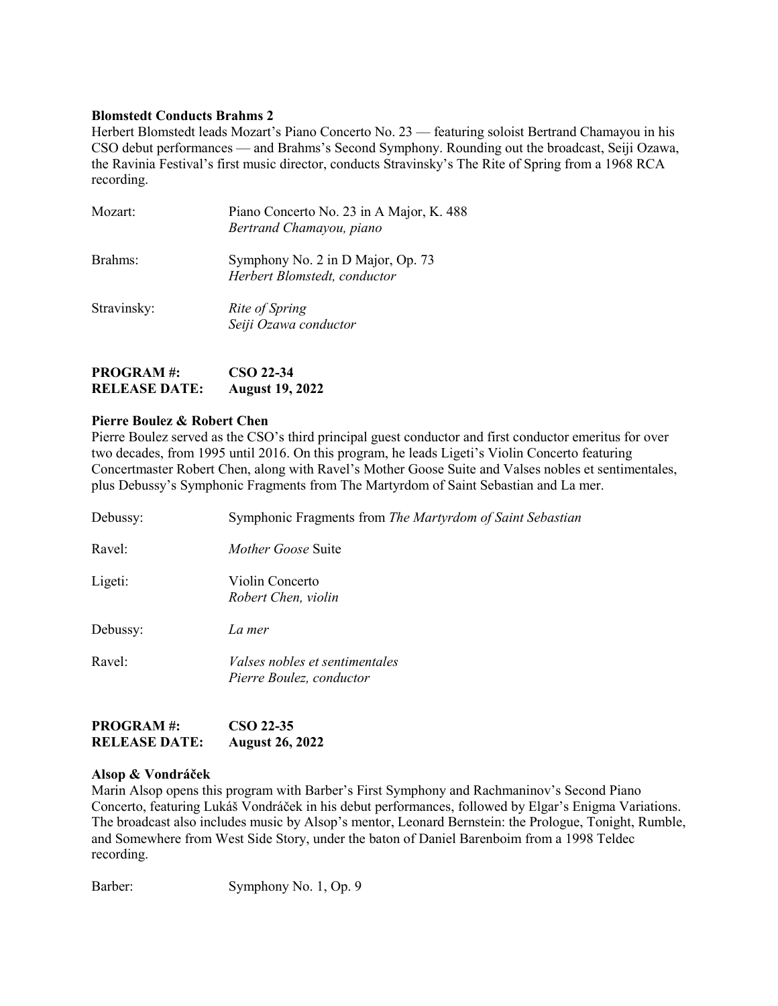# **Blomstedt Conducts Brahms 2**

Herbert Blomstedt leads Mozart's Piano Concerto No. 23 — featuring soloist Bertrand Chamayou in his CSO debut performances — and Brahms's Second Symphony. Rounding out the broadcast, Seiji Ozawa, the Ravinia Festival's first music director, conducts Stravinsky's The Rite of Spring from a 1968 RCA recording.

| Mozart:     | Piano Concerto No. 23 in A Major, K. 488<br>Bertrand Chamayou, piano |
|-------------|----------------------------------------------------------------------|
| Brahms:     | Symphony No. 2 in D Major, Op. 73<br>Herbert Blomstedt, conductor    |
| Stravinsky: | Rite of Spring<br>Seiji Ozawa conductor                              |

| <b>PROGRAM#:</b>     | CSO 22-34              |
|----------------------|------------------------|
| <b>RELEASE DATE:</b> | <b>August 19, 2022</b> |

# **Pierre Boulez & Robert Chen**

Pierre Boulez served as the CSO's third principal guest conductor and first conductor emeritus for over two decades, from 1995 until 2016. On this program, he leads Ligeti's Violin Concerto featuring Concertmaster Robert Chen, along with Ravel's Mother Goose Suite and Valses nobles et sentimentales, plus Debussy's Symphonic Fragments from The Martyrdom of Saint Sebastian and La mer.

| Debussy: | Symphonic Fragments from The Martyrdom of Saint Sebastian         |
|----------|-------------------------------------------------------------------|
| Ravel:   | <i>Mother Goose</i> Suite                                         |
| Ligeti:  | Violin Concerto<br>Robert Chen, violin                            |
| Debussy: | La mer                                                            |
| Ravel:   | <i>Valses nobles et sentimentales</i><br>Pierre Boulez, conductor |

| <b>PROGRAM#:</b>     | CSO 22-35              |
|----------------------|------------------------|
| <b>RELEASE DATE:</b> | <b>August 26, 2022</b> |

#### **Alsop & Vondráček**

Marin Alsop opens this program with Barber's First Symphony and Rachmaninov's Second Piano Concerto, featuring Lukáš Vondráček in his debut performances, followed by Elgar's Enigma Variations. The broadcast also includes music by Alsop's mentor, Leonard Bernstein: the Prologue, Tonight, Rumble, and Somewhere from West Side Story, under the baton of Daniel Barenboim from a 1998 Teldec recording.

Barber: Symphony No. 1, Op. 9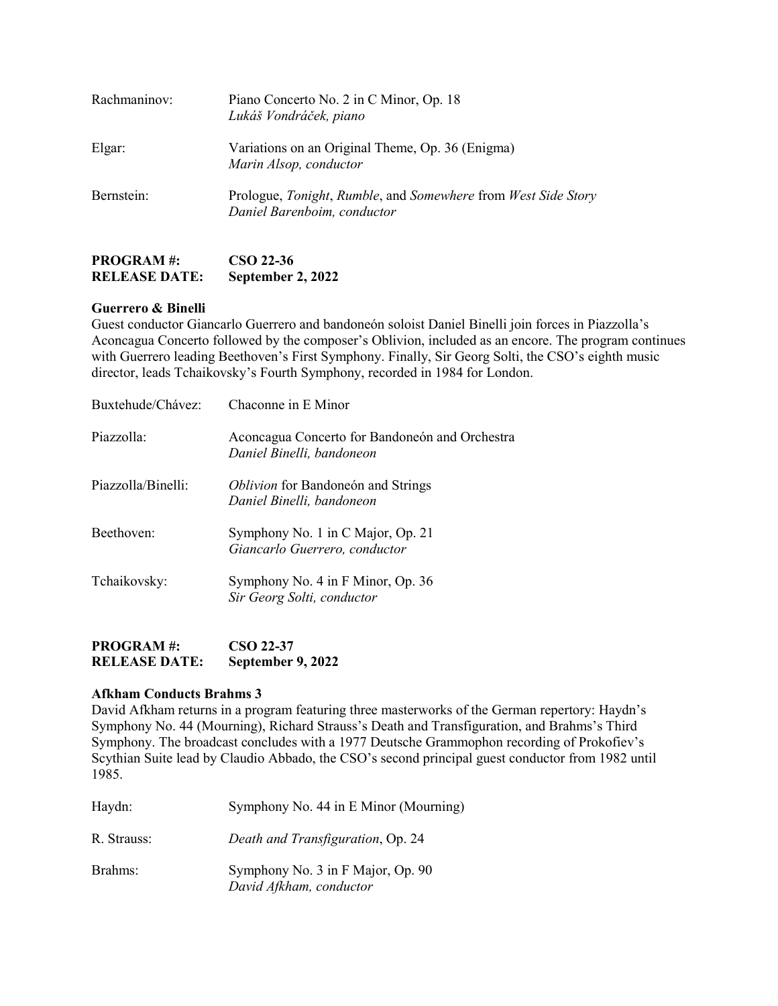| Rachmaninov: | Piano Concerto No. 2 in C Minor, Op. 18<br>Lukáš Vondráček, piano                            |
|--------------|----------------------------------------------------------------------------------------------|
| Elgar:       | Variations on an Original Theme, Op. 36 (Enigma)<br>Marin Alsop, conductor                   |
| Bernstein:   | Prologue, Tonight, Rumble, and Somewhere from West Side Story<br>Daniel Barenboim, conductor |

# **RELEASE DATE: September 2, 2022**

**PROGRAM #: CSO 22-36**

# **Guerrero & Binelli**

Guest conductor Giancarlo Guerrero and bandoneón soloist Daniel Binelli join forces in Piazzolla's Aconcagua Concerto followed by the composer's Oblivion, included as an encore. The program continues with Guerrero leading Beethoven's First Symphony. Finally, Sir Georg Solti, the CSO's eighth music director, leads Tchaikovsky's Fourth Symphony, recorded in 1984 for London.

| Chaconne in E Minor                                                         |
|-----------------------------------------------------------------------------|
| Aconcagua Concerto for Bandoneón and Orchestra<br>Daniel Binelli, bandoneon |
| <i>Oblivion</i> for Bandoneón and Strings<br>Daniel Binelli, bandoneon      |
| Symphony No. 1 in C Major, Op. 21<br>Giancarlo Guerrero, conductor          |
| Symphony No. 4 in F Minor, Op. 36<br>Sir Georg Solti, conductor             |
|                                                                             |

# **PROGRAM #: CSO 22-37 RELEASE DATE: September 9, 2022**

# **Afkham Conducts Brahms 3**

David Afkham returns in a program featuring three masterworks of the German repertory: Haydn's Symphony No. 44 (Mourning), Richard Strauss's Death and Transfiguration, and Brahms's Third Symphony. The broadcast concludes with a 1977 Deutsche Grammophon recording of Prokofiev's Scythian Suite lead by Claudio Abbado, the CSO's second principal guest conductor from 1982 until 1985.

| Haydn:      | Symphony No. 44 in E Minor (Mourning)                        |
|-------------|--------------------------------------------------------------|
| R. Strauss: | Death and Transfiguration, Op. 24                            |
| Brahms:     | Symphony No. 3 in F Major, Op. 90<br>David Afkham, conductor |